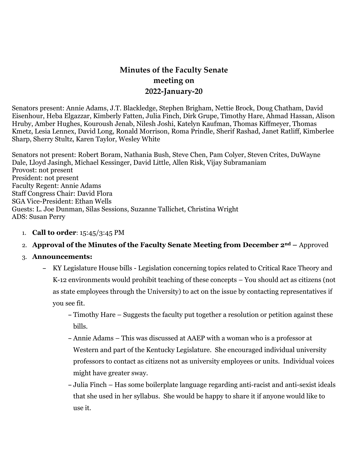# **Minutes of the Faculty Senate meeting on 2022-January-20**

Senators present: Annie Adams, J.T. Blackledge, Stephen Brigham, Nettie Brock, Doug Chatham, David Eisenhour, Heba Elgazzar, Kimberly Fatten, Julia Finch, Dirk Grupe, Timothy Hare, Ahmad Hassan, Alison Hruby, Amber Hughes, Kouroush Jenab, Nilesh Joshi, Katelyn Kaufman, Thomas Kiffmeyer, Thomas Kmetz, Lesia Lennex, David Long, Ronald Morrison, Roma Prindle, Sherif Rashad, Janet Ratliff, Kimberlee Sharp, Sherry Stultz, Karen Taylor, Wesley White

Senators not present: Robert Boram, Nathania Bush, Steve Chen, Pam Colyer, Steven Crites, DuWayne Dale, Lloyd Jasingh, Michael Kessinger, David Little, Allen Risk, Vijay Subramaniam Provost: not present President: not present Faculty Regent: Annie Adams Staff Congress Chair: David Flora SGA Vice-President: Ethan Wells Guests: L. Joe Dunman, Silas Sessions, Suzanne Tallichet, Christina Wright ADS: Susan Perry

1. **Call to order**: 15:45/3:45 PM

# 2. **Approval of the Minutes of the Faculty Senate Meeting from December 2nd –** Approved

#### 3. **Announcements:**

- **–** KY Legislature House bills Legislation concerning topics related to Critical Race Theory and K-12 environments would prohibit teaching of these concepts – You should act as citizens (not as state employees through the University) to act on the issue by contacting representatives if you see fit.
	- **–** Timothy Hare Suggests the faculty put together a resolution or petition against these bills.
	- **–** Annie Adams This was discussed at AAEP with a woman who is a professor at Western and part of the Kentucky Legislature. She encouraged individual university professors to contact as citizens not as university employees or units. Individual voices might have greater sway.
	- **–** Julia Finch Has some boilerplate language regarding anti-racist and anti-sexist ideals that she used in her syllabus. She would be happy to share it if anyone would like to use it.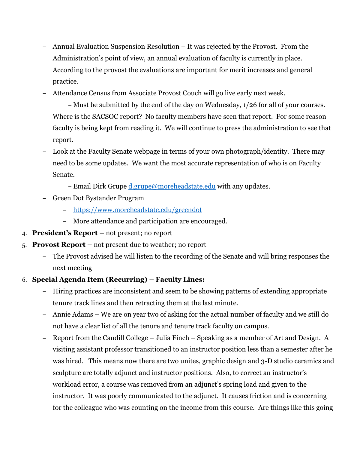- **–** Annual Evaluation Suspension Resolution It was rejected by the Provost. From the Administration's point of view, an annual evaluation of faculty is currently in place. According to the provost the evaluations are important for merit increases and general practice.
- **–** Attendance Census from Associate Provost Couch will go live early next week.
	- **–** Must be submitted by the end of the day on Wednesday, 1/26 for all of your courses.
- **–** Where is the SACSOC report? No faculty members have seen that report. For some reason faculty is being kept from reading it. We will continue to press the administration to see that report.
- **–** Look at the Faculty Senate webpage in terms of your own photograph/identity. There may need to be some updates. We want the most accurate representation of who is on Faculty Senate.
	- **–** Email Dirk Grupe [d.grupe@moreheadstate.edu](mailto:d.grupe@moreheadstate.edu) with any updates.
- **–** Green Dot Bystander Program
	- **–** <https://www.moreheadstate.edu/greendot>
	- **–** More attendance and participation are encouraged.
- 4. **President's Report –** not present; no report
- 5. **Provost Report –** not present due to weather; no report
	- **–** The Provost advised he will listen to the recording of the Senate and will bring responses the next meeting
- 6. **Special Agenda Item (Recurring) – Faculty Lines:**
	- **–** Hiring practices are inconsistent and seem to be showing patterns of extending appropriate tenure track lines and then retracting them at the last minute.
	- **–** Annie Adams We are on year two of asking for the actual number of faculty and we still do not have a clear list of all the tenure and tenure track faculty on campus.
	- **–** Report from the Caudill College Julia Finch Speaking as a member of Art and Design. A visiting assistant professor transitioned to an instructor position less than a semester after he was hired. This means now there are two unites, graphic design and 3-D studio ceramics and sculpture are totally adjunct and instructor positions. Also, to correct an instructor's workload error, a course was removed from an adjunct's spring load and given to the instructor. It was poorly communicated to the adjunct. It causes friction and is concerning for the colleague who was counting on the income from this course. Are things like this going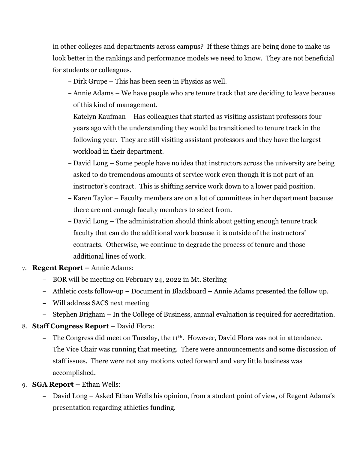in other colleges and departments across campus? If these things are being done to make us look better in the rankings and performance models we need to know. They are not beneficial for students or colleagues.

- **–** Dirk Grupe This has been seen in Physics as well.
- **–** Annie Adams We have people who are tenure track that are deciding to leave because of this kind of management.
- **–** Katelyn Kaufman Has colleagues that started as visiting assistant professors four years ago with the understanding they would be transitioned to tenure track in the following year. They are still visiting assistant professors and they have the largest workload in their department.
- **–** David Long Some people have no idea that instructors across the university are being asked to do tremendous amounts of service work even though it is not part of an instructor's contract. This is shifting service work down to a lower paid position.
- **–** Karen Taylor Faculty members are on a lot of committees in her department because there are not enough faculty members to select from.
- **–** David Long The administration should think about getting enough tenure track faculty that can do the additional work because it is outside of the instructors' contracts. Otherwise, we continue to degrade the process of tenure and those additional lines of work.
- 7. **Regent Report –** Annie Adams:
	- **–** BOR will be meeting on February 24, 2022 in Mt. Sterling
	- **–** Athletic costs follow-up Document in Blackboard Annie Adams presented the follow up.
	- **–** Will address SACS next meeting
	- **–** Stephen Brigham In the College of Business, annual evaluation is required for accreditation.
- 8. **Staff Congress Report** David Flora:
	- **–** The Congress did meet on Tuesday, the 11th. However, David Flora was not in attendance. The Vice Chair was running that meeting. There were announcements and some discussion of staff issues. There were not any motions voted forward and very little business was accomplished.
- 9. **SGA Report –** Ethan Wells:
	- **–** David Long Asked Ethan Wells his opinion, from a student point of view, of Regent Adams's presentation regarding athletics funding.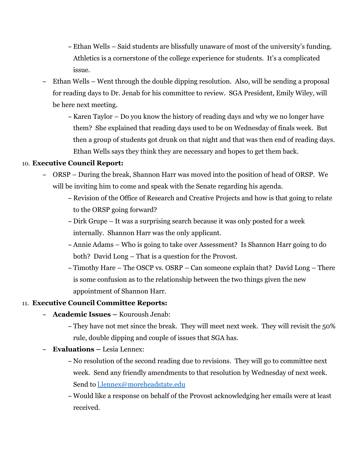- **–** Ethan Wells Said students are blissfully unaware of most of the university's funding. Athletics is a cornerstone of the college experience for students. It's a complicated issue.
- **–** Ethan Wells Went through the double dipping resolution. Also, will be sending a proposal for reading days to Dr. Jenab for his committee to review. SGA President, Emily Wiley, will be here next meeting.
	- **–** Karen Taylor Do you know the history of reading days and why we no longer have them? She explained that reading days used to be on Wednesday of finals week. But then a group of students got drunk on that night and that was then end of reading days. Ethan Wells says they think they are necessary and hopes to get them back.

#### 10. **Executive Council Report:**

- **–** ORSP During the break, Shannon Harr was moved into the position of head of ORSP. We will be inviting him to come and speak with the Senate regarding his agenda.
	- **–** Revision of the Office of Research and Creative Projects and how is that going to relate to the ORSP going forward?
	- **–** Dirk Grupe It was a surprising search because it was only posted for a week internally. Shannon Harr was the only applicant.
	- **–** Annie Adams Who is going to take over Assessment? Is Shannon Harr going to do both? David Long – That is a question for the Provost.
	- **–** Timothy Hare The OSCP vs. OSRP Can someone explain that? David Long There is some confusion as to the relationship between the two things given the new appointment of Shannon Harr.

## 11. **Executive Council Committee Reports:**

- **– Academic Issues –** Kouroush Jenab:
	- **–** They have not met since the break. They will meet next week. They will revisit the 50% rule, double dipping and couple of issues that SGA has.
- **– Evaluations –** Lesia Lennex:
	- **–** No resolution of the second reading due to revisions. They will go to committee next week. Send any friendly amendments to that resolution by Wednesday of next week. Send to [l.lennex@moreheadstate.edu](mailto:l.lennex@moreheadstate.edu)
	- **–** Would like a response on behalf of the Provost acknowledging her emails were at least received.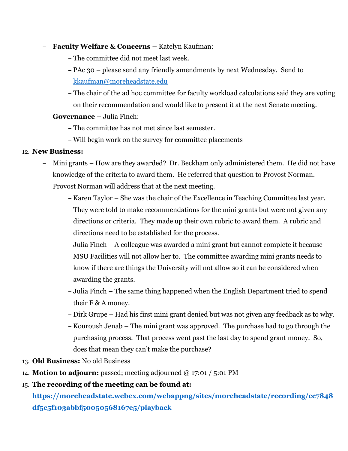- **– Faculty Welfare & Concerns –** Katelyn Kaufman:
	- **–** The committee did not meet last week.
	- **–** PAc 30 please send any friendly amendments by next Wednesday. Send to [kkaufman@moreheadstate.edu](mailto:kkaufman@moreheadstate.edu)
	- **–** The chair of the ad hoc committee for faculty workload calculations said they are voting on their recommendation and would like to present it at the next Senate meeting.
- **– Governance –** Julia Finch:
	- **–** The committee has not met since last semester.
	- **–** Will begin work on the survey for committee placements

## 12. **New Business:**

- **–** Mini grants How are they awarded? Dr. Beckham only administered them. He did not have knowledge of the criteria to award them. He referred that question to Provost Norman. Provost Norman will address that at the next meeting.
	- **–** Karen Taylor She was the chair of the Excellence in Teaching Committee last year. They were told to make recommendations for the mini grants but were not given any directions or criteria. They made up their own rubric to award them. A rubric and directions need to be established for the process.
	- **–** Julia Finch A colleague was awarded a mini grant but cannot complete it because MSU Facilities will not allow her to. The committee awarding mini grants needs to know if there are things the University will not allow so it can be considered when awarding the grants.
	- **–** Julia Finch The same thing happened when the English Department tried to spend their F & A money.
	- **–** Dirk Grupe Had his first mini grant denied but was not given any feedback as to why.
	- **–** Kouroush Jenab The mini grant was approved. The purchase had to go through the purchasing process. That process went past the last day to spend grant money. So, does that mean they can't make the purchase?
- 13. **Old Business:** No old Business
- 14. **Motion to adjourn:** passed; meeting adjourned @ 17:01 / 5:01 PM
- 15. **The recording of the meeting can be found at:**

**[https://moreheadstate.webex.com/webappng/sites/moreheadstate/recording/cc7848](https://moreheadstate.webex.com/webappng/sites/moreheadstate/recording/cc7848df5c5f103abbf50050568167e5/playback) [df5c5f103abbf50050568167e5/playback](https://moreheadstate.webex.com/webappng/sites/moreheadstate/recording/cc7848df5c5f103abbf50050568167e5/playback)**